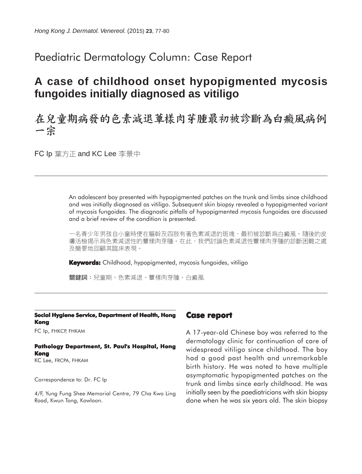## Paediatric Dermatology Column: Case Report

# **A case of childhood onset hypopigmented mycosis fungoides initially diagnosed as vitiligo**

## 在兒童期病發的色素減退蕈樣肉芽腫最初被診斷為白癜風病例 一宗

FC Ip 葉方正 and KC Lee 李景中

An adolescent boy presented with hypopigmented patches on the trunk and limbs since childhood and was initially diagnosed as vitiligo. Subsequent skin biopsy revealed a hypopigmented variant of mycosis fungoides. The diagnostic pitfalls of hypopigmented mycosis fungoides are discussed and a brief review of the condition is presented.

一名青少年男孩自小童時便在軀幹及四肢有著色素減退的斑塊,最初被診斷爲白癜風。隨後的皮 膚活檢揭示爲色素減退性的蕈樣肉芽腫。在此,我們討論色素減退性蕈樣肉芽腫的診斷困難之處 及簡要地回顧其臨床表現。

**Keywords:** Childhood, hypopigmented, mycosis fungoides, vitiligo

關鍵詞:兒童期、色素減退、蕈樣肉芽腫、白癜風

### **Social Hygiene Service, Department of Health, Hong Kong**

FC Ip, FHKCP, FHKAM

#### **Pathology Department, St. Paul's Hospital, Hong Kong** KC Lee, FRCPA, FHKAM

Correspondence to: Dr. FC Ip

4/F, Yung Fung Shee Memorial Centre, 79 Cha Kwo Ling Road, Kwun Tong, Kowloon.

## **Case report**

A 17-year-old Chinese boy was referred to the dermatology clinic for continuation of care of widespread vitiligo since childhood. The boy had a good past health and unremarkable birth history. He was noted to have multiple asymptomatic hypopigmented patches on the trunk and limbs since early childhood. He was initially seen by the paediatricians with skin biopsy done when he was six years old. The skin biopsy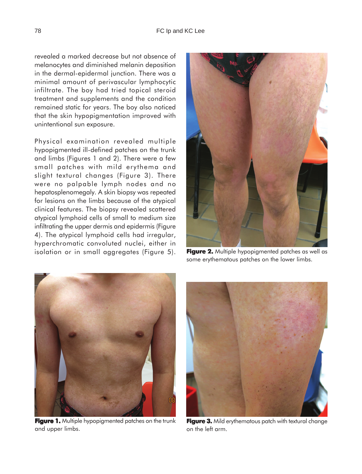revealed a marked decrease but not absence of melanocytes and diminished melanin deposition in the dermal-epidermal junction. There was a minimal amount of perivascular lymphocytic infiltrate. The boy had tried topical steroid treatment and supplements and the condition remained static for years. The boy also noticed that the skin hypopigmentation improved with unintentional sun exposure.

Physical examination revealed multiple hypopigmented ill-defined patches on the trunk and limbs (Figures 1 and 2). There were a few small patches with mild erythema and slight textural changes (Figure 3). There were no palpable lymph nodes and no hepatosplenomegaly. A skin biopsy was repeated for lesions on the limbs because of the atypical clinical features. The biopsy revealed scattered atypical lymphoid cells of small to medium size infiltrating the upper dermis and epidermis (Figure 4). The atypical lymphoid cells had irregular, hyperchromatic convoluted nuclei, either in isolation or in small aggregates (Figure 5).



**Figure 2.** Multiple hypopigmented patches as well as some erythematous patches on the lower limbs.



**Figure 1.** Multiple hypopigmented patches on the trunk and upper limbs.



**Figure 3.** Mild erythematous patch with textural change on the left arm.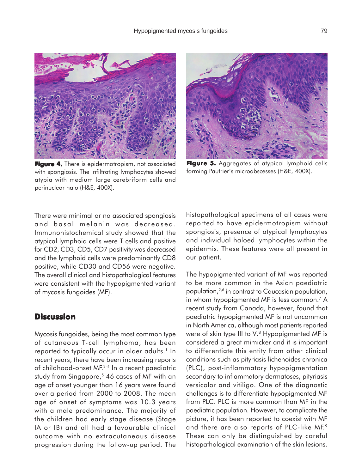

**Figure 4.** There is epidermotropism, not associated with spongiosis. The infiltrating lymphocytes showed atypia with medium large cerebriform cells and perinuclear halo (H&E, 400X).



Figure 5. Aggregates of atypical lymphoid cells forming Pautrier's microabscesses (H&E, 400X).

There were minimal or no associated spongiosis and basal melanin was decreased. Immunohistochemical study showed that the atypical lymphoid cells were T cells and positive for CD2, CD3, CD5; CD7 positivity was decreased and the lymphoid cells were predominantly CD8 positive, while CD30 and CD56 were negative. The overall clinical and histopathological features were consistent with the hypopigmented variant of mycosis fungoides (MF).

## **Discussion**

Mycosis fungoides, being the most common type of cutaneous T-cell lymphoma, has been reported to typically occur in older adults.<sup>1</sup> In recent years, there have been increasing reports of childhood-onset MF.2-4 In a recent paediatric study from Singapore,<sup>5</sup> 46 cases of MF with an age of onset younger than 16 years were found over a period from 2000 to 2008. The mean age of onset of symptoms was 10.3 years with a male predominance. The majority of the children had early stage disease (Stage IA or IB) and all had a favourable clinical outcome with no extracutaneous disease progression during the follow-up period. The

histopathological specimens of all cases were reported to have epidermotropism without spongiosis, presence of atypical lymphocytes and individual haloed lymphocytes within the epidermis. These features were all present in our patient.

The hypopigmented variant of MF was reported to be more common in the Asian paediatric population,2,6 in contrast to Caucasian population, in whom hypopigmented MF is less common.<sup>7</sup> A recent study from Canada, however, found that paediatric hypopigmented MF is not uncommon in North America, although most patients reported were of skin type III to V.<sup>8</sup> Hypopigmented MF is considered a great mimicker and it is important to differentiate this entity from other clinical conditions such as pityriasis lichenoides chronica (PLC), post-inflammatory hypopigmentation secondary to inflammatory dermatoses, pityriasis versicolor and vitiligo. One of the diagnostic challenges is to differentiate hypopigmented MF from PLC. PLC is more common than MF in the paediatric population. However, to complicate the picture, it has been reported to coexist with MF and there are also reports of PLC-like MF.<sup>9</sup> These can only be distinguished by careful histopathological examination of the skin lesions.